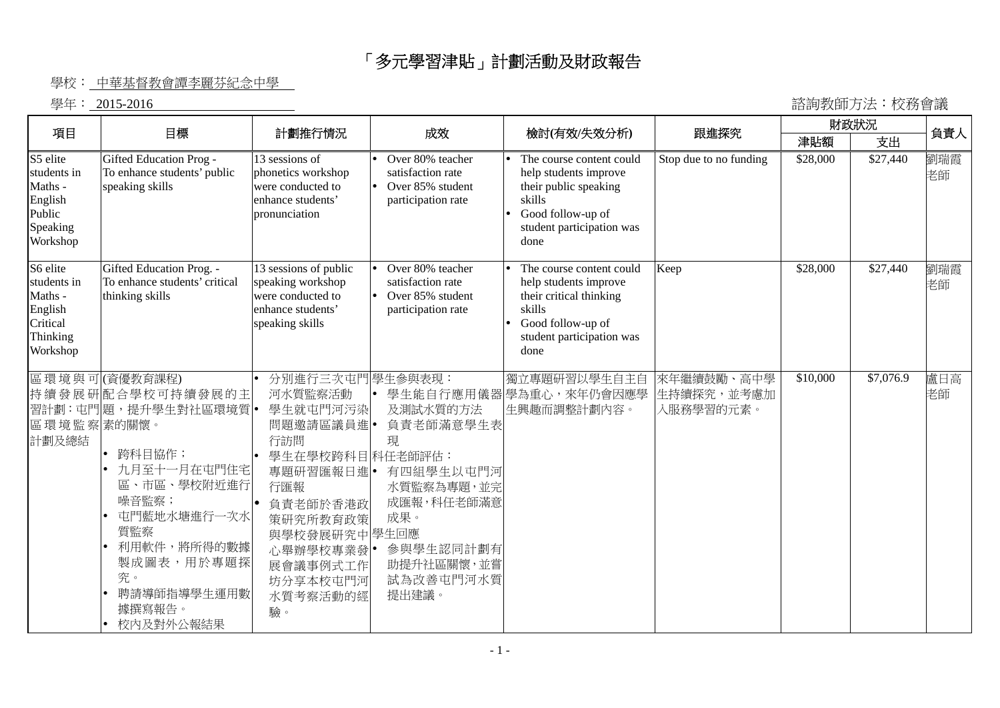## 「多元學習津貼」計劃活動及財政報告

## 學校: 中華基督教會譚李麗芬紀念中學

學年: 2015-2016 諮詢教師方法︰校務會議

|                                                                                   |                                                                                                                                                                                                         |                                                                                                                                                                                                     |                                                                                                                             |                                                                                                                                                  |                                       | 財政狀況     |           |           |
|-----------------------------------------------------------------------------------|---------------------------------------------------------------------------------------------------------------------------------------------------------------------------------------------------------|-----------------------------------------------------------------------------------------------------------------------------------------------------------------------------------------------------|-----------------------------------------------------------------------------------------------------------------------------|--------------------------------------------------------------------------------------------------------------------------------------------------|---------------------------------------|----------|-----------|-----------|
| 項目                                                                                | 目標                                                                                                                                                                                                      | 計劃推行情況                                                                                                                                                                                              | 成效                                                                                                                          | 檢討(有效/失效分析)                                                                                                                                      | 跟進探究                                  | 津貼額      | 支出        | 負責人       |
| S5 elite<br>students in<br>Maths -<br>English<br>Public<br>Speaking<br>Workshop   | Gifted Education Prog-<br>To enhance students' public<br>speaking skills                                                                                                                                | 13 sessions of<br>phonetics workshop<br>were conducted to<br>enhance students'<br>pronunciation                                                                                                     | Over 80% teacher<br>satisfaction rate<br>Over 85% student<br>participation rate                                             | The course content could<br>help students improve<br>their public speaking<br>skills<br>Good follow-up of<br>student participation was<br>done   | Stop due to no funding                | \$28,000 | \$27,440  | 劉瑞霞<br>老師 |
| S6 elite<br>students in<br>Maths -<br>English<br>Critical<br>Thinking<br>Workshop | Gifted Education Prog. -<br>To enhance students' critical<br>thinking skills                                                                                                                            | 13 sessions of public<br>speaking workshop<br>were conducted to<br>enhance students'<br>speaking skills                                                                                             | Over 80% teacher<br>satisfaction rate<br>Over 85% student<br>participation rate                                             | The course content could<br>help students improve<br>their critical thinking<br>skills<br>Good follow-up of<br>student participation was<br>done | Keep                                  | \$28,000 | \$27,440  | 劉瑞霞<br>老師 |
| 區環境監察素的關懷。<br>計劃及總結                                                               | 區環境與可(資優教育課程)<br>持續發展研配合學校可持續發展的主<br>習計劃:屯門題,提升學生對社區環境質<br>跨科目協作;<br>九月至十一月在屯門住宅<br>區、市區、學校附近進行<br>噪音監察;<br>屯門藍地水塘進行一次水<br>質監察<br>利用軟件,將所得的數據<br>製成圖表,用於專題探<br>究。<br>聘請導師指導學生運用數<br>據撰寫報告。<br>校内及對外公報結果 | 分別進行三次屯門 學生參與表現:<br>河水質監察活動<br>學生就屯門河污染<br>問題邀請區議員進 •<br>行訪問<br>學生在學校跨科目科任老師評估:<br>專題研習匯報日進 <br>行匯報<br>負責老師於香港政<br>策研究所教育政策<br>與學校發展研究中學生回應<br>心舉辦學校專業發 •<br>展會議事例式工作<br>坊分享本校屯門河<br>水質考察活動的經<br>驗。 | 及測試水質的方法<br>負責老師滿意學生表<br>現<br>有四組學生以屯門河<br>水質監察為專題,並完<br>成匯報,科任老師滿意<br>成果。<br>參與學生認同計劃有<br>助提升社區關懷,並嘗<br>試為改善屯門河水質<br>提出建議。 | 獨立專題研習以學生自主自<br>學生能自行應用儀器學為重心,來年仍會因應學<br>生興趣而調整計劃內容。                                                                                             | 來年繼續鼓勵、高中學<br>生持續探究,並考慮加<br>入服務學習的元素。 | \$10,000 | \$7,076.9 | 盧日高<br>老師 |